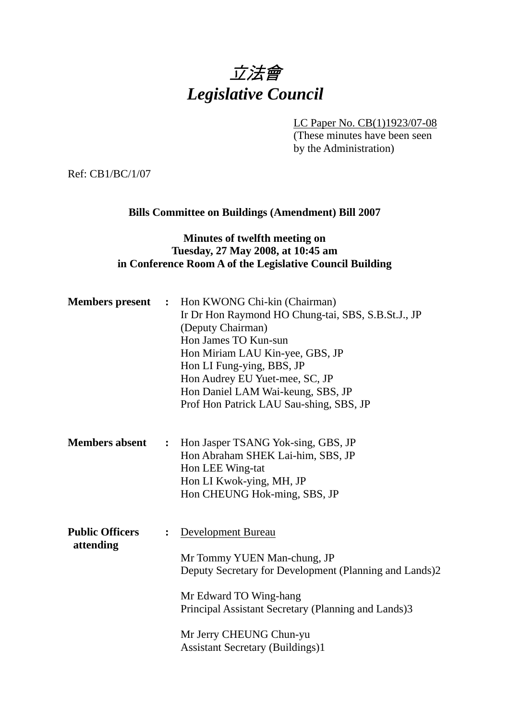# 立法會 *Legislative Council*

LC Paper No. CB(1)1923/07-08

(These minutes have been seen by the Administration)

Ref: CB1/BC/1/07

## **Bills Committee on Buildings (Amendment) Bill 2007**

### **Minutes of twelfth meeting on Tuesday, 27 May 2008, at 10:45 am in Conference Room A of the Legislative Council Building**

| <b>Members</b> present              | $\ddot{\phantom{1}}$ | Hon KWONG Chi-kin (Chairman)<br>Ir Dr Hon Raymond HO Chung-tai, SBS, S.B.St.J., JP<br>(Deputy Chairman)<br>Hon James TO Kun-sun<br>Hon Miriam LAU Kin-yee, GBS, JP<br>Hon LI Fung-ying, BBS, JP<br>Hon Audrey EU Yuet-mee, SC, JP<br>Hon Daniel LAM Wai-keung, SBS, JP<br>Prof Hon Patrick LAU Sau-shing, SBS, JP |
|-------------------------------------|----------------------|-------------------------------------------------------------------------------------------------------------------------------------------------------------------------------------------------------------------------------------------------------------------------------------------------------------------|
| <b>Members absent</b>               | $\ddot{\cdot}$       | Hon Jasper TSANG Yok-sing, GBS, JP<br>Hon Abraham SHEK Lai-him, SBS, JP<br>Hon LEE Wing-tat<br>Hon LI Kwok-ying, MH, JP<br>Hon CHEUNG Hok-ming, SBS, JP                                                                                                                                                           |
| <b>Public Officers</b><br>attending |                      | <b>Development Bureau</b><br>Mr Tommy YUEN Man-chung, JP<br>Deputy Secretary for Development (Planning and Lands)2<br>Mr Edward TO Wing-hang<br>Principal Assistant Secretary (Planning and Lands)3<br>Mr Jerry CHEUNG Chun-yu<br><b>Assistant Secretary (Buildings)1</b>                                         |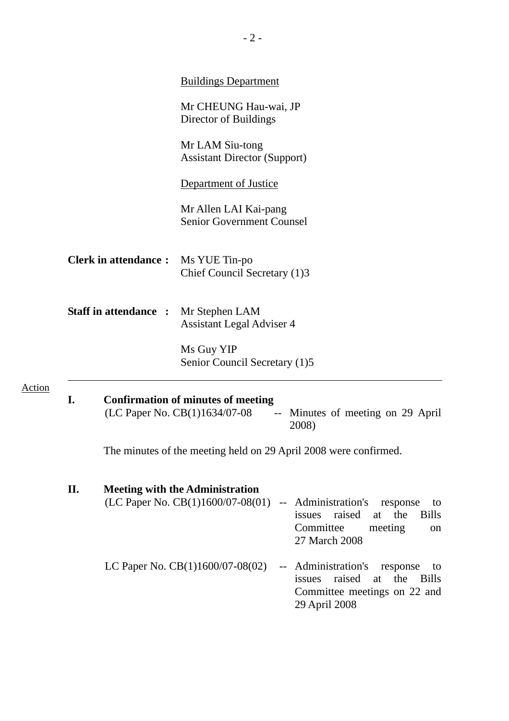|                              |    |                                                                                                                          | <b>Buildings Department</b>                                                                                                                                                                                         |  |  |  |  |
|------------------------------|----|--------------------------------------------------------------------------------------------------------------------------|---------------------------------------------------------------------------------------------------------------------------------------------------------------------------------------------------------------------|--|--|--|--|
|                              |    |                                                                                                                          | Mr CHEUNG Hau-wai, JP<br>Director of Buildings<br>Mr LAM Siu-tong<br><b>Assistant Director (Support)</b><br>Department of Justice                                                                                   |  |  |  |  |
|                              |    |                                                                                                                          |                                                                                                                                                                                                                     |  |  |  |  |
|                              |    |                                                                                                                          |                                                                                                                                                                                                                     |  |  |  |  |
|                              |    |                                                                                                                          | Mr Allen LAI Kai-pang<br><b>Senior Government Counsel</b>                                                                                                                                                           |  |  |  |  |
| <b>Clerk in attendance:</b>  |    |                                                                                                                          | Ms YUE Tin-po<br>Chief Council Secretary (1)3                                                                                                                                                                       |  |  |  |  |
| <b>Staff in attendance :</b> |    |                                                                                                                          | Mr Stephen LAM<br><b>Assistant Legal Adviser 4</b>                                                                                                                                                                  |  |  |  |  |
|                              |    |                                                                                                                          | Ms Guy YIP<br>Senior Council Secretary (1)5                                                                                                                                                                         |  |  |  |  |
| Action                       | I. | <b>Confirmation of minutes of meeting</b><br>(LC Paper No. CB(1)1634/07-08<br>-- Minutes of meeting on 29 April<br>2008) |                                                                                                                                                                                                                     |  |  |  |  |
|                              |    | The minutes of the meeting held on 29 April 2008 were confirmed.                                                         |                                                                                                                                                                                                                     |  |  |  |  |
|                              | П. |                                                                                                                          | <b>Meeting with the Administration</b><br>(LC Paper No. $CB(1)1600/07-08(01)$<br>-- Administration's response<br>to<br><b>Bills</b><br>raised<br>the<br>issues<br>at<br>Committee<br>meeting<br>on<br>27 March 2008 |  |  |  |  |
|                              |    |                                                                                                                          | LC Paper No. $CB(1)1600/07-08(02)$<br>-- Administration's<br>response<br>to<br>raised<br>the<br>issues<br>at<br><b>Bills</b><br>Committee meetings on 22 and<br>29 April 2008                                       |  |  |  |  |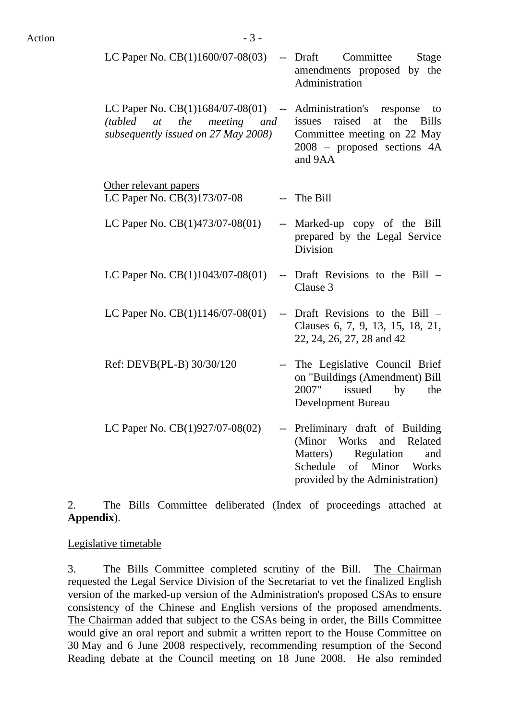| LC Paper No. $CB(1)1600/07-08(03)$ -- Draft Committee                                                      | Stage<br>amendments proposed by the<br>Administration                                                                                  |
|------------------------------------------------------------------------------------------------------------|----------------------------------------------------------------------------------------------------------------------------------------|
| LC Paper No. $CB(1)1684/07-08(01)$ --<br>(tabled at the meeting and<br>subsequently issued on 27 May 2008) | Administration's response<br>to<br>issues raised at the Bills<br>Committee meeting on 22 May<br>2008 – proposed sections 4A<br>and 9AA |
| Other relevant papers<br>LC Paper No. CB(3)173/07-08                                                       | -- The Bill                                                                                                                            |
| LC Paper No. $CB(1)473/07-08(01)$                                                                          | -- Marked-up copy of the Bill<br>prepared by the Legal Service<br>Division                                                             |
| LC Paper No. $CB(1)1043/07-08(01)$                                                                         | -- Draft Revisions to the Bill –<br>Clause 3                                                                                           |

- LC Paper No.  $CB(1)1146/07-08(01)$  -- Draft Revisions to the Bill Clauses 6, 7, 9, 13, 15, 18, 21, 22, 24, 26, 27, 28 and 42
- Ref: DEVB(PL-B) 30/30/120 -- The Legislative Council Brief on "Buildings (Amendment) Bill 2007" issued by the Development Bureau
- LC Paper No.  $CB(1)927/07-08(02)$  -- Preliminary draft of Building (Minor Works and Related Matters) Regulation and Schedule of Minor Works provided by the Administration)

2. The Bills Committee deliberated (Index of proceedings attached at **Appendix**).

Legislative timetable

3. The Bills Committee completed scrutiny of the Bill. The Chairman requested the Legal Service Division of the Secretariat to vet the finalized English version of the marked-up version of the Administration's proposed CSAs to ensure consistency of the Chinese and English versions of the proposed amendments. The Chairman added that subject to the CSAs being in order, the Bills Committee would give an oral report and submit a written report to the House Committee on 30 May and 6 June 2008 respectively, recommending resumption of the Second Reading debate at the Council meeting on 18 June 2008. He also reminded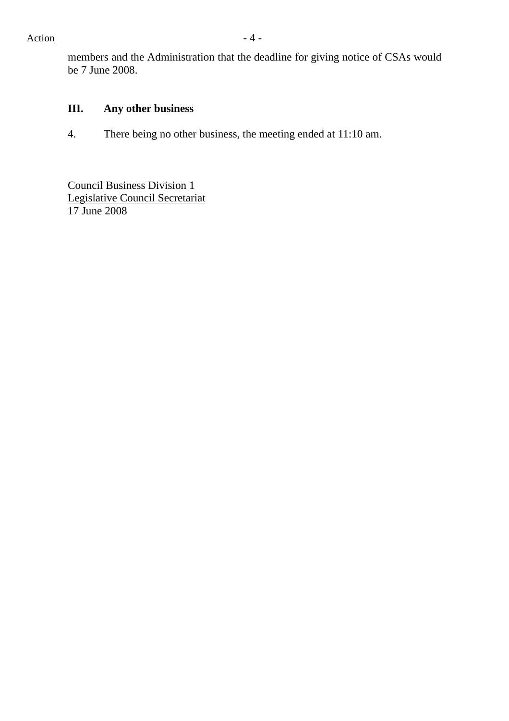members and the Administration that the deadline for giving notice of CSAs would be 7 June 2008.

## **III. Any other business**

4. There being no other business, the meeting ended at 11:10 am.

Council Business Division 1 Legislative Council Secretariat 17 June 2008